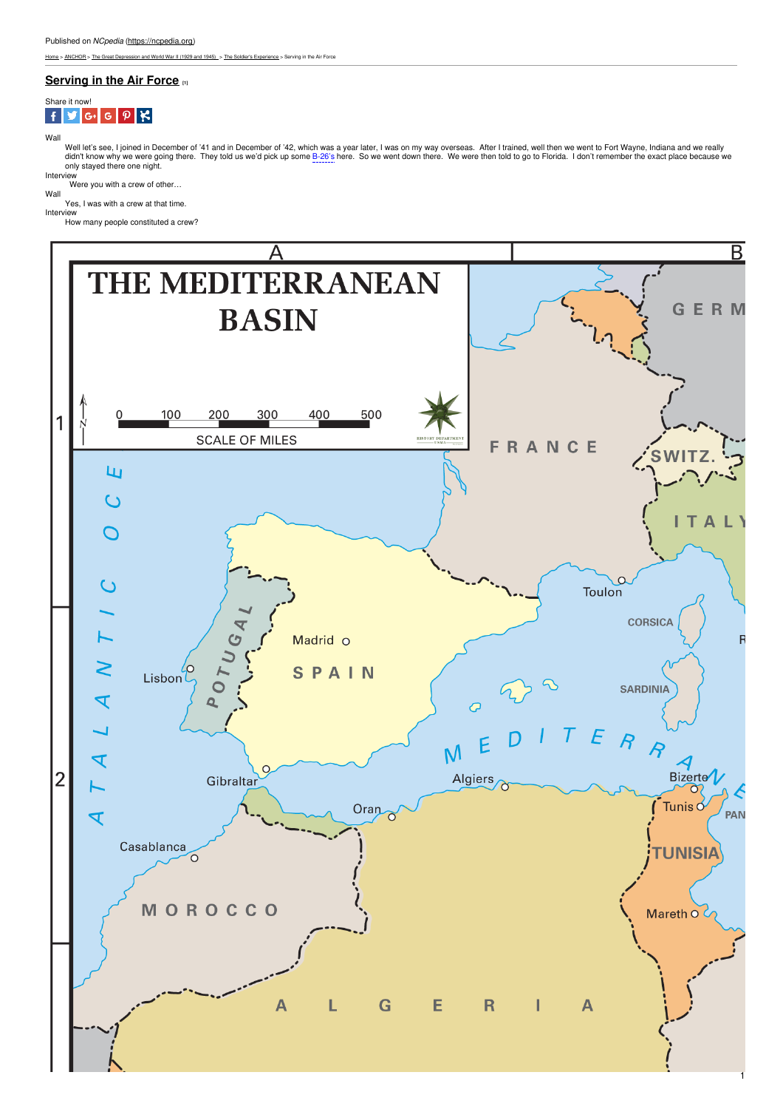[Home](https://ncpedia.org/) > [ANCHOR](https://ncpedia.org/anchor/anchor) > The Great [Depression](https://ncpedia.org/anchor/great-depression-and-world) and World War II (1929 and 1945) > The Soldier's [Experience](https://ncpedia.org/anchor/soldiers-experience) > Serving in the Air Force

# **[Serving](https://ncpedia.org/anchor/serving-air-force) in the Air Force [1]**



Wall

Well let's see, I joined in December of '41 and in December of '42, which was a year later, I was on my way overseas. After I trained, well then we went to Fort Wayne, Indiana and we really didn't know why we were going there. They told us we'd pick up some <mark>B-26's</mark> here. So we went down there. We were then told to go to Florida. I don't remember the exact place because we<br>only stayed there one night.

Interview<br>Were you with a crew of other...

Wall Yes, I was with a crew at that time.

Interview How many people constituted a [crew?](http://www.social9.com)



1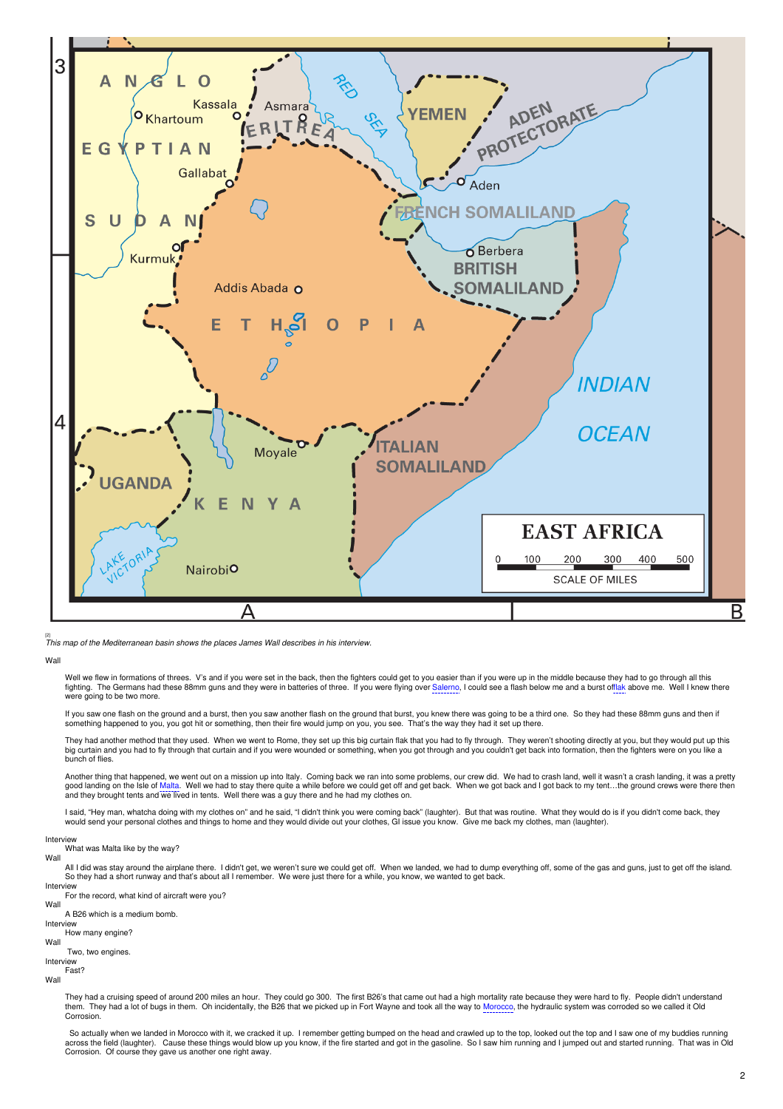

[2] *This map of the Mediterranean basin shows the places James Wall describes in his interview.*

### Wall

Well we flew in formations of threes. V's and if you were set in the back, then the fighters could get to you easier than if you were up in the middle because they had to go through all this fighting. The Germans had these 88mm guns and they were in batteries of three. If you were flying over Salerno, I could see a flash below me and a burst offlak above me. Well I knew there were going to be two more.

If you saw one flash on the ground and a burst, then you saw another flash on the ground that burst, you knew there was going to be a third one. So they had these 88mm guns and then if something happened to you, you got hit or something, then their fire would jump on you, you see. That's the way they had it set up there.

They had another method that they used. When we went to Rome, they set up this big curtain flak that you had to fly through. They weren't shooting directly at you, but they would put up this<br>big curtain and you had to fl bunch of flies.

Another thing that happened, we went out on a mission up into Italy. Coming back we ran into some problems, our crew did. We had to crash land, well it wasn't a crash landing, it was a pretty good landing on the Isle of Malta. Well we had to stay there quite a while before we could get off and get back. When we got back and I got back to my tent…the ground crews were there then<br>and they brought tents and we liv

l said, "Hey man, whatcha doing with my clothes on" and he said, "I didn't think you were coming back" (laughter). But that was routine. What they would do is if you didn't come back, they<br>would send your personal clothe

Interview<br>What was Malta like by the way? Wal

All I did was stay around the airplane there. I didn't get, we weren't sure we could get off. When we landed, we had to dump everything off, some of the gas and guns, just to get off the island.<br>So they had a short runway Intensiew

For the record, what kind of aircraft were you?

## Wall

A B26 which is a medium bomb.

Inter How many engine?

Wall

### Two, two engines. Interview

Fast?

Wall

They had a cruising speed of around 200 miles an hour. They could go 300. The first B26's that came out had a high mortality rate because they were hard to fly. People didn't understand<br>them. They had a lot of bugs in them Corrosion.

So actually when we landed in Morocco with it, we cracked it up. I remember getting bumped on the head and crawled up to the top, looked out the top and I saw one of my buddies running across the field (laughter). Cause these things would blow up you know, if the fire started and got in the gasoline. So Isaw him running and I jumped out and started running. That was in Old Corrosion. Of course they gave us another one right away.